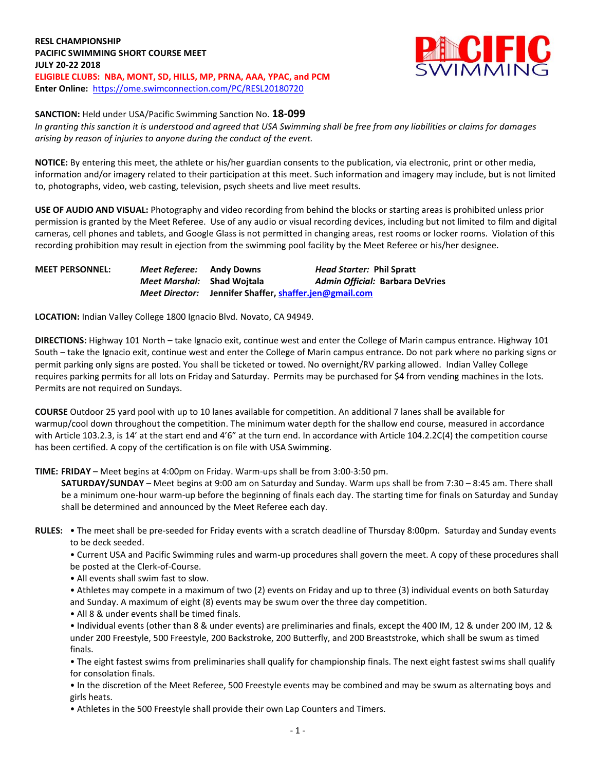**RESL CHAMPIONSHIP PACIFIC SWIMMING SHORT COURSE MEET JULY 20-22 2018 ELIGIBLE CLUBS: NBA, MONT, SD, HILLS, MP, PRNA, AAA, YPAC, and PCM Enter Online:** <https://ome.swimconnection.com/PC/RESL20180720>



**SANCTION:** Held under USA/Pacific Swimming Sanction No. **18-099**

*In granting this sanction it is understood and agreed that USA Swimming shall be free from any liabilities or claims for damages arising by reason of injuries to anyone during the conduct of the event.*

**NOTICE:** By entering this meet, the athlete or his/her guardian consents to the publication, via electronic, print or other media, information and/or imagery related to their participation at this meet. Such information and imagery may include, but is not limited to, photographs, video, web casting, television, psych sheets and live meet results.

**USE OF AUDIO AND VISUAL:** Photography and video recording from behind the blocks or starting areas is prohibited unless prior permission is granted by the Meet Referee. Use of any audio or visual recording devices, including but not limited to film and digital cameras, cell phones and tablets, and Google Glass is not permitted in changing areas, rest rooms or locker rooms. Violation of this recording prohibition may result in ejection from the swimming pool facility by the Meet Referee or his/her designee.

| <b>MEET PERSONNEL:</b> | Meet Referee:                     | Andy Downs                              | <i>Head Starter: Phil Spratt</i>       |
|------------------------|-----------------------------------|-----------------------------------------|----------------------------------------|
|                        | <i>Meet Marshal:</i> Shad Woitala |                                         | <b>Admin Official: Barbara DeVries</b> |
|                        | <b>Meet Director:</b>             | Jennifer Shaffer, shaffer.jen@gmail.com |                                        |

**LOCATION:** Indian Valley College 1800 Ignacio Blvd. Novato, CA 94949.

**DIRECTIONS:** Highway 101 North – take Ignacio exit, continue west and enter the College of Marin campus entrance. Highway 101 South – take the Ignacio exit, continue west and enter the College of Marin campus entrance. Do not park where no parking signs or permit parking only signs are posted. You shall be ticketed or towed. No overnight/RV parking allowed. Indian Valley College requires parking permits for all lots on Friday and Saturday. Permits may be purchased for \$4 from vending machines in the lots. Permits are not required on Sundays.

**COURSE** Outdoor 25 yard pool with up to 10 lanes available for competition. An additional 7 lanes shall be available for warmup/cool down throughout the competition. The minimum water depth for the shallow end course, measured in accordance with Article 103.2.3, is 14' at the start end and 4'6" at the turn end. In accordance with Article 104.2.2C(4) the competition course has been certified. A copy of the certification is on file with USA Swimming.

**TIME: FRIDAY** – Meet begins at 4:00pm on Friday. Warm-ups shall be from 3:00-3:50 pm.

**SATURDAY/SUNDAY** – Meet begins at 9:00 am on Saturday and Sunday. Warm ups shall be from 7:30 – 8:45 am. There shall be a minimum one-hour warm-up before the beginning of finals each day. The starting time for finals on Saturday and Sunday shall be determined and announced by the Meet Referee each day.

**RULES:** • The meet shall be pre-seeded for Friday events with a scratch deadline of Thursday 8:00pm. Saturday and Sunday events to be deck seeded.

• Current USA and Pacific Swimming rules and warm-up procedures shall govern the meet. A copy of these procedures shall be posted at the Clerk-of-Course.

• All events shall swim fast to slow.

• Athletes may compete in a maximum of two (2) events on Friday and up to three (3) individual events on both Saturday and Sunday. A maximum of eight (8) events may be swum over the three day competition.

• All 8 & under events shall be timed finals.

• Individual events (other than 8 & under events) are preliminaries and finals, except the 400 IM, 12 & under 200 IM, 12 & under 200 Freestyle, 500 Freestyle, 200 Backstroke, 200 Butterfly, and 200 Breaststroke, which shall be swum as timed finals.

• The eight fastest swims from preliminaries shall qualify for championship finals. The next eight fastest swims shall qualify for consolation finals.

• In the discretion of the Meet Referee, 500 Freestyle events may be combined and may be swum as alternating boys and girls heats.

• Athletes in the 500 Freestyle shall provide their own Lap Counters and Timers.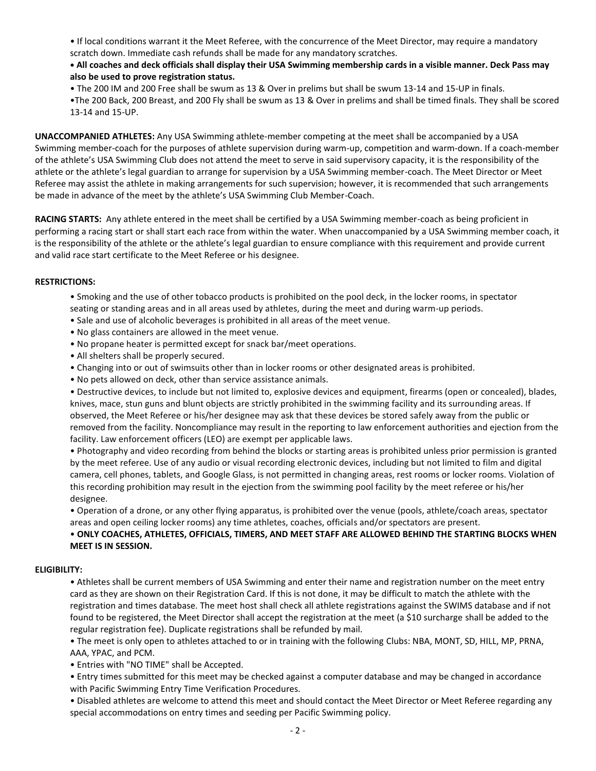• If local conditions warrant it the Meet Referee, with the concurrence of the Meet Director, may require a mandatory scratch down. Immediate cash refunds shall be made for any mandatory scratches.

## **• All coaches and deck officials shall display their USA Swimming membership cards in a visible manner. Deck Pass may also be used to prove registration status.**

• The 200 IM and 200 Free shall be swum as 13 & Over in prelims but shall be swum 13-14 and 15-UP in finals.

•The 200 Back, 200 Breast, and 200 Fly shall be swum as 13 & Over in prelims and shall be timed finals. They shall be scored 13-14 and 15-UP.

**UNACCOMPANIED ATHLETES:** Any USA Swimming athlete-member competing at the meet shall be accompanied by a USA Swimming member-coach for the purposes of athlete supervision during warm-up, competition and warm-down. If a coach-member of the athlete's USA Swimming Club does not attend the meet to serve in said supervisory capacity, it is the responsibility of the athlete or the athlete's legal guardian to arrange for supervision by a USA Swimming member-coach. The Meet Director or Meet Referee may assist the athlete in making arrangements for such supervision; however, it is recommended that such arrangements be made in advance of the meet by the athlete's USA Swimming Club Member-Coach.

**RACING STARTS:** Any athlete entered in the meet shall be certified by a USA Swimming member-coach as being proficient in performing a racing start or shall start each race from within the water. When unaccompanied by a USA Swimming member coach, it is the responsibility of the athlete or the athlete's legal guardian to ensure compliance with this requirement and provide current and valid race start certificate to the Meet Referee or his designee.

## **RESTRICTIONS:**

- Smoking and the use of other tobacco products is prohibited on the pool deck, in the locker rooms, in spectator seating or standing areas and in all areas used by athletes, during the meet and during warm-up periods.
- Sale and use of alcoholic beverages is prohibited in all areas of the meet venue.
- No glass containers are allowed in the meet venue.
- No propane heater is permitted except for snack bar/meet operations.
- All shelters shall be properly secured.
- Changing into or out of swimsuits other than in locker rooms or other designated areas is prohibited.
- No pets allowed on deck, other than service assistance animals.

• Destructive devices, to include but not limited to, explosive devices and equipment, firearms (open or concealed), blades, knives, mace, stun guns and blunt objects are strictly prohibited in the swimming facility and its surrounding areas. If observed, the Meet Referee or his/her designee may ask that these devices be stored safely away from the public or removed from the facility. Noncompliance may result in the reporting to law enforcement authorities and ejection from the facility. Law enforcement officers (LEO) are exempt per applicable laws.

• Photography and video recording from behind the blocks or starting areas is prohibited unless prior permission is granted by the meet referee. Use of any audio or visual recording electronic devices, including but not limited to film and digital camera, cell phones, tablets, and Google Glass, is not permitted in changing areas, rest rooms or locker rooms. Violation of this recording prohibition may result in the ejection from the swimming pool facility by the meet referee or his/her designee.

• Operation of a drone, or any other flying apparatus, is prohibited over the venue (pools, athlete/coach areas, spectator areas and open ceiling locker rooms) any time athletes, coaches, officials and/or spectators are present.

# • **ONLY COACHES, ATHLETES, OFFICIALS, TIMERS, AND MEET STAFF ARE ALLOWED BEHIND THE STARTING BLOCKS WHEN MEET IS IN SESSION.**

## **ELIGIBILITY:**

• Athletes shall be current members of USA Swimming and enter their name and registration number on the meet entry card as they are shown on their Registration Card. If this is not done, it may be difficult to match the athlete with the registration and times database. The meet host shall check all athlete registrations against the SWIMS database and if not found to be registered, the Meet Director shall accept the registration at the meet (a \$10 surcharge shall be added to the regular registration fee). Duplicate registrations shall be refunded by mail.

• The meet is only open to athletes attached to or in training with the following Clubs: NBA, MONT, SD, HILL, MP, PRNA, AAA, YPAC, and PCM.

• Entries with "NO TIME" shall be Accepted.

• Entry times submitted for this meet may be checked against a computer database and may be changed in accordance with Pacific Swimming Entry Time Verification Procedures.

• Disabled athletes are welcome to attend this meet and should contact the Meet Director or Meet Referee regarding any special accommodations on entry times and seeding per Pacific Swimming policy.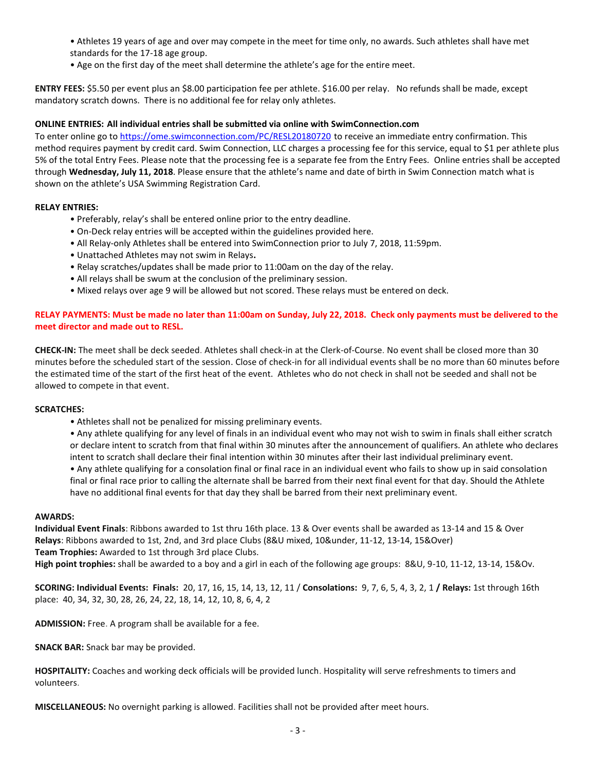• Athletes 19 years of age and over may compete in the meet for time only, no awards. Such athletes shall have met standards for the 17-18 age group.

• Age on the first day of the meet shall determine the athlete's age for the entire meet.

**ENTRY FEES:** \$5.50 per event plus an \$8.00 participation fee per athlete. \$16.00 per relay. No refunds shall be made, except mandatory scratch downs. There is no additional fee for relay only athletes.

## **ONLINE ENTRIES: All individual entries shall be submitted via online with SwimConnection.com**

To enter online go t[o https://ome.swimconnection.com/PC/RESL20180720](https://ome.swimconnection.com/PC/RESL20180720) to receive an immediate entry confirmation. This method requires payment by credit card. Swim Connection, LLC charges a processing fee for this service, equal to \$1 per athlete plus 5% of the total Entry Fees. Please note that the processing fee is a separate fee from the Entry Fees. Online entries shall be accepted through **Wednesday, July 11, 2018**. Please ensure that the athlete's name and date of birth in Swim Connection match what is shown on the athlete's USA Swimming Registration Card.

#### **RELAY ENTRIES:**

- Preferably, relay's shall be entered online prior to the entry deadline.
- On-Deck relay entries will be accepted within the guidelines provided here.
- All Relay-only Athletes shall be entered into SwimConnection prior to July 7, 2018, 11:59pm.
- Unattached Athletes may not swim in Relays**.**
- Relay scratches/updates shall be made prior to 11:00am on the day of the relay.
- All relays shall be swum at the conclusion of the preliminary session.
- Mixed relays over age 9 will be allowed but not scored. These relays must be entered on deck.

## **RELAY PAYMENTS: Must be made no later than 11:00am on Sunday, July 22, 2018. Check only payments must be delivered to the meet director and made out to RESL.**

**CHECK-IN:** The meet shall be deck seeded. Athletes shall check-in at the Clerk-of-Course. No event shall be closed more than 30 minutes before the scheduled start of the session. Close of check-in for all individual events shall be no more than 60 minutes before the estimated time of the start of the first heat of the event. Athletes who do not check in shall not be seeded and shall not be allowed to compete in that event.

#### **SCRATCHES:**

• Athletes shall not be penalized for missing preliminary events.

• Any athlete qualifying for any level of finals in an individual event who may not wish to swim in finals shall either scratch or declare intent to scratch from that final within 30 minutes after the announcement of qualifiers. An athlete who declares intent to scratch shall declare their final intention within 30 minutes after their last individual preliminary event.

• Any athlete qualifying for a consolation final or final race in an individual event who fails to show up in said consolation final or final race prior to calling the alternate shall be barred from their next final event for that day. Should the Athlete have no additional final events for that day they shall be barred from their next preliminary event.

## **AWARDS:**

**Individual Event Finals**: Ribbons awarded to 1st thru 16th place. 13 & Over events shall be awarded as 13-14 and 15 & Over **Relays**: Ribbons awarded to 1st, 2nd, and 3rd place Clubs (8&U mixed, 10&under, 11-12, 13-14, 15&Over) **Team Trophies:** Awarded to 1st through 3rd place Clubs.

**High point trophies:** shall be awarded to a boy and a girl in each of the following age groups: 8&U, 9-10, 11-12, 13-14, 15&Ov.

**SCORING: Individual Events: Finals:** 20, 17, 16, 15, 14, 13, 12, 11 / **Consolations:** 9, 7, 6, 5, 4, 3, 2, 1 **/ Relays:** 1st through 16th place: 40, 34, 32, 30, 28, 26, 24, 22, 18, 14, 12, 10, 8, 6, 4, 2

**ADMISSION:** Free. A program shall be available for a fee.

**SNACK BAR:** Snack bar may be provided.

**HOSPITALITY:** Coaches and working deck officials will be provided lunch. Hospitality will serve refreshments to timers and volunteers.

**MISCELLANEOUS:** No overnight parking is allowed. Facilities shall not be provided after meet hours.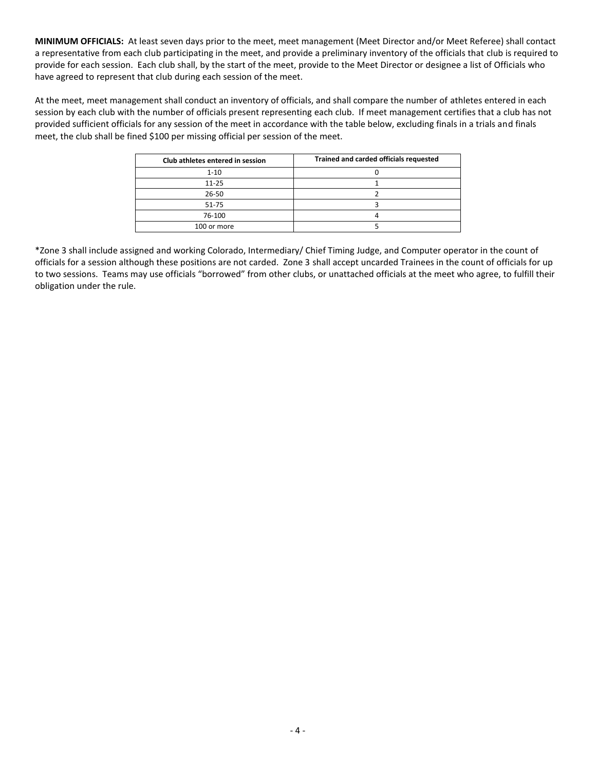**MINIMUM OFFICIALS:** At least seven days prior to the meet, meet management (Meet Director and/or Meet Referee) shall contact a representative from each club participating in the meet, and provide a preliminary inventory of the officials that club is required to provide for each session. Each club shall, by the start of the meet, provide to the Meet Director or designee a list of Officials who have agreed to represent that club during each session of the meet.

At the meet, meet management shall conduct an inventory of officials, and shall compare the number of athletes entered in each session by each club with the number of officials present representing each club. If meet management certifies that a club has not provided sufficient officials for any session of the meet in accordance with the table below, excluding finals in a trials and finals meet, the club shall be fined \$100 per missing official per session of the meet.

| Club athletes entered in session | Trained and carded officials requested |
|----------------------------------|----------------------------------------|
| $1 - 10$                         |                                        |
| $11 - 25$                        |                                        |
| 26-50                            |                                        |
| 51-75                            |                                        |
| 76-100                           |                                        |
| 100 or more                      |                                        |

\*Zone 3 shall include assigned and working Colorado, Intermediary/ Chief Timing Judge, and Computer operator in the count of officials for a session although these positions are not carded. Zone 3 shall accept uncarded Trainees in the count of officials for up to two sessions. Teams may use officials "borrowed" from other clubs, or unattached officials at the meet who agree, to fulfill their obligation under the rule.